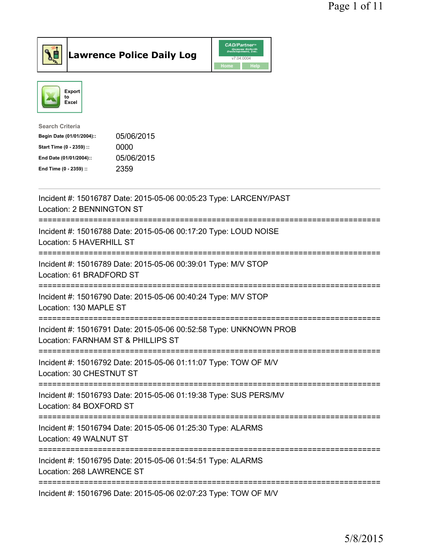

Lawrence Police Daily Log CAD/Partners



| Search Criteria           |            |
|---------------------------|------------|
| Begin Date (01/01/2004):: | 05/06/2015 |
| Start Time (0 - 2359) ::  | 0000       |
| End Date (01/01/2004)::   | 05/06/2015 |
| End Time (0 - 2359) ::    | 2359       |
|                           |            |

| Incident #: 15016787 Date: 2015-05-06 00:05:23 Type: LARCENY/PAST<br>Location: 2 BENNINGTON ST                      |
|---------------------------------------------------------------------------------------------------------------------|
| Incident #: 15016788 Date: 2015-05-06 00:17:20 Type: LOUD NOISE<br>Location: 5 HAVERHILL ST                         |
| Incident #: 15016789 Date: 2015-05-06 00:39:01 Type: M/V STOP<br>Location: 61 BRADFORD ST                           |
| Incident #: 15016790 Date: 2015-05-06 00:40:24 Type: M/V STOP<br>Location: 130 MAPLE ST                             |
| Incident #: 15016791 Date: 2015-05-06 00:52:58 Type: UNKNOWN PROB<br>Location: FARNHAM ST & PHILLIPS ST             |
| Incident #: 15016792 Date: 2015-05-06 01:11:07 Type: TOW OF M/V<br>Location: 30 CHESTNUT ST                         |
| Incident #: 15016793 Date: 2015-05-06 01:19:38 Type: SUS PERS/MV<br>Location: 84 BOXFORD ST<br>==================== |
| Incident #: 15016794 Date: 2015-05-06 01:25:30 Type: ALARMS<br>Location: 49 WALNUT ST                               |
| Incident #: 15016795 Date: 2015-05-06 01:54:51 Type: ALARMS<br>Location: 268 LAWRENCE ST                            |
| Incident #: 15016796 Date: 2015-05-06 02:07:23 Type: TOW OF M/V                                                     |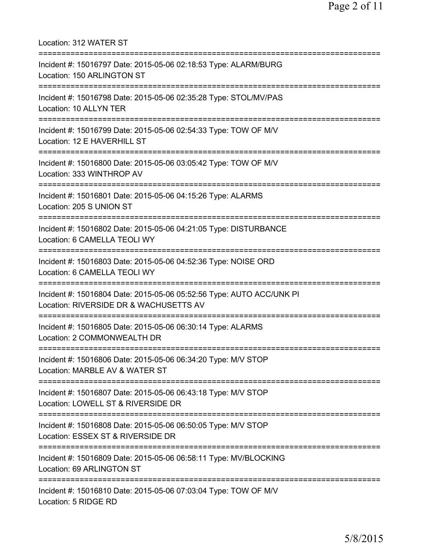Location: 312 WATER ST =========================================================================== Incident #: 15016797 Date: 2015-05-06 02:18:53 Type: ALARM/BURG Location: 150 ARLINGTON ST =========================================================================== Incident #: 15016798 Date: 2015-05-06 02:35:28 Type: STOL/MV/PAS Location: 10 ALLYN TER =========================================================================== Incident #: 15016799 Date: 2015-05-06 02:54:33 Type: TOW OF M/V Location: 12 E HAVERHILL ST =========================================================================== Incident #: 15016800 Date: 2015-05-06 03:05:42 Type: TOW OF M/V Location: 333 WINTHROP AV =========================================================================== Incident #: 15016801 Date: 2015-05-06 04:15:26 Type: ALARMS Location: 205 S UNION ST =========================================================================== Incident #: 15016802 Date: 2015-05-06 04:21:05 Type: DISTURBANCE Location: 6 CAMELLA TEOLI WY =========================================================================== Incident #: 15016803 Date: 2015-05-06 04:52:36 Type: NOISE ORD Location: 6 CAMELLA TEOLI WY =========================================================================== Incident #: 15016804 Date: 2015-05-06 05:52:56 Type: AUTO ACC/UNK PI Location: RIVERSIDE DR & WACHUSETTS AV =========================================================================== Incident #: 15016805 Date: 2015-05-06 06:30:14 Type: ALARMS Location: 2 COMMONWEALTH DR =========================================================================== Incident #: 15016806 Date: 2015-05-06 06:34:20 Type: M/V STOP Location: MARBLE AV & WATER ST =========================================================================== Incident #: 15016807 Date: 2015-05-06 06:43:18 Type: M/V STOP Location: LOWELL ST & RIVERSIDE DR =========================================================================== Incident #: 15016808 Date: 2015-05-06 06:50:05 Type: M/V STOP Location: ESSEX ST & RIVERSIDE DR =========================================================================== Incident #: 15016809 Date: 2015-05-06 06:58:11 Type: MV/BLOCKING Location: 69 ARLINGTON ST =========================================================================== Incident #: 15016810 Date: 2015-05-06 07:03:04 Type: TOW OF M/V Location: 5 RIDGE RD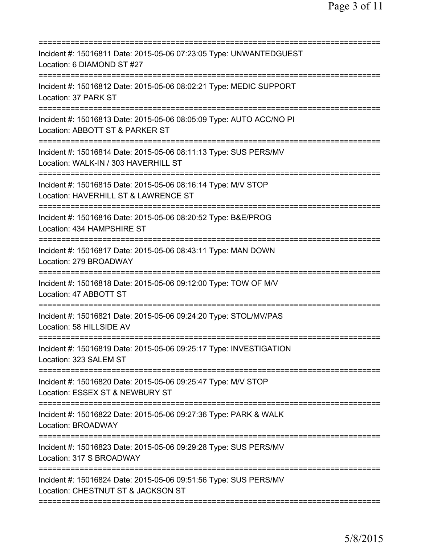| Incident #: 15016811 Date: 2015-05-06 07:23:05 Type: UNWANTEDGUEST<br>Location: 6 DIAMOND ST #27                                       |
|----------------------------------------------------------------------------------------------------------------------------------------|
| Incident #: 15016812 Date: 2015-05-06 08:02:21 Type: MEDIC SUPPORT<br>Location: 37 PARK ST                                             |
| Incident #: 15016813 Date: 2015-05-06 08:05:09 Type: AUTO ACC/NO PI<br>Location: ABBOTT ST & PARKER ST                                 |
| Incident #: 15016814 Date: 2015-05-06 08:11:13 Type: SUS PERS/MV<br>Location: WALK-IN / 303 HAVERHILL ST<br>========================== |
| Incident #: 15016815 Date: 2015-05-06 08:16:14 Type: M/V STOP<br>Location: HAVERHILL ST & LAWRENCE ST                                  |
| ======================<br>Incident #: 15016816 Date: 2015-05-06 08:20:52 Type: B&E/PROG<br>Location: 434 HAMPSHIRE ST                  |
| Incident #: 15016817 Date: 2015-05-06 08:43:11 Type: MAN DOWN<br>Location: 279 BROADWAY                                                |
| Incident #: 15016818 Date: 2015-05-06 09:12:00 Type: TOW OF M/V<br>Location: 47 ABBOTT ST                                              |
| Incident #: 15016821 Date: 2015-05-06 09:24:20 Type: STOL/MV/PAS<br>Location: 58 HILLSIDE AV                                           |
| Incident #: 15016819 Date: 2015-05-06 09:25:17 Type: INVESTIGATION<br>Location: 323 SALEM ST                                           |
| Incident #: 15016820 Date: 2015-05-06 09:25:47 Type: M/V STOP<br>Location: ESSEX ST & NEWBURY ST                                       |
| Incident #: 15016822 Date: 2015-05-06 09:27:36 Type: PARK & WALK<br>Location: BROADWAY                                                 |
| Incident #: 15016823 Date: 2015-05-06 09:29:28 Type: SUS PERS/MV<br>Location: 317 S BROADWAY                                           |
| Incident #: 15016824 Date: 2015-05-06 09:51:56 Type: SUS PERS/MV<br>Location: CHESTNUT ST & JACKSON ST                                 |
|                                                                                                                                        |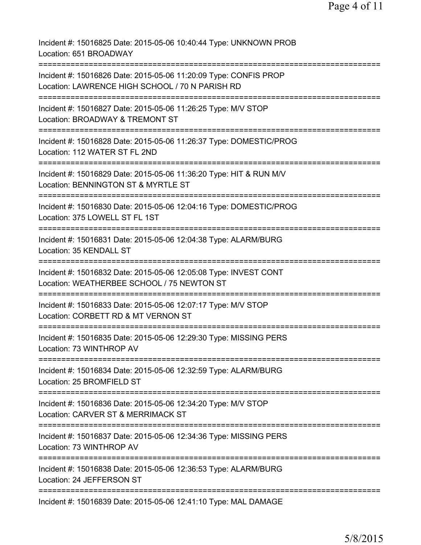Incident #: 15016825 Date: 2015-05-06 10:40:44 Type: UNKNOWN PROB Location: 651 BROADWAY ========================== Incident #: 15016826 Date: 2015-05-06 11:20:09 Type: CONFIS PROP Location: LAWRENCE HIGH SCHOOL / 70 N PARISH RD =========================================================================== Incident #: 15016827 Date: 2015-05-06 11:26:25 Type: M/V STOP Location: BROADWAY & TREMONT ST =========================================================================== Incident #: 15016828 Date: 2015-05-06 11:26:37 Type: DOMESTIC/PROG Location: 112 WATER ST FL 2ND =========================================================================== Incident #: 15016829 Date: 2015-05-06 11:36:20 Type: HIT & RUN M/V Location: BENNINGTON ST & MYRTLE ST =========================================================================== Incident #: 15016830 Date: 2015-05-06 12:04:16 Type: DOMESTIC/PROG Location: 375 LOWELL ST FL 1ST =========================================================================== Incident #: 15016831 Date: 2015-05-06 12:04:38 Type: ALARM/BURG Location: 35 KENDALL ST =========================================================================== Incident #: 15016832 Date: 2015-05-06 12:05:08 Type: INVEST CONT Location: WEATHERBEE SCHOOL / 75 NEWTON ST =========================================================================== Incident #: 15016833 Date: 2015-05-06 12:07:17 Type: M/V STOP Location: CORBETT RD & MT VERNON ST =========================================================================== Incident #: 15016835 Date: 2015-05-06 12:29:30 Type: MISSING PERS Location: 73 WINTHROP AV =========================================================================== Incident #: 15016834 Date: 2015-05-06 12:32:59 Type: ALARM/BURG Location: 25 BROMFIELD ST =========================================================================== Incident #: 15016836 Date: 2015-05-06 12:34:20 Type: M/V STOP Location: CARVER ST & MERRIMACK ST =========================================================================== Incident #: 15016837 Date: 2015-05-06 12:34:36 Type: MISSING PERS Location: 73 WINTHROP AV =========================================================================== Incident #: 15016838 Date: 2015-05-06 12:36:53 Type: ALARM/BURG Location: 24 JEFFERSON ST =========================================================================== Incident #: 15016839 Date: 2015-05-06 12:41:10 Type: MAL DAMAGE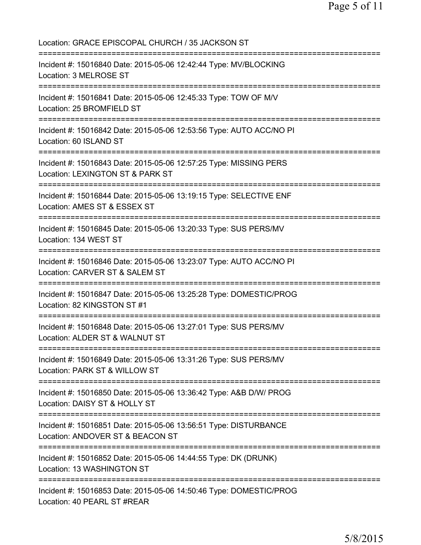Location: GRACE EPISCOPAL CHURCH / 35 JACKSON ST =========================================================================== Incident #: 15016840 Date: 2015-05-06 12:42:44 Type: MV/BLOCKING Location: 3 MELROSE ST =========================================================================== Incident #: 15016841 Date: 2015-05-06 12:45:33 Type: TOW OF M/V Location: 25 BROMFIELD ST =========================================================================== Incident #: 15016842 Date: 2015-05-06 12:53:56 Type: AUTO ACC/NO PI Location: 60 ISLAND ST =========================================================================== Incident #: 15016843 Date: 2015-05-06 12:57:25 Type: MISSING PERS Location: LEXINGTON ST & PARK ST =========================================================================== Incident #: 15016844 Date: 2015-05-06 13:19:15 Type: SELECTIVE ENF Location: AMES ST & ESSEX ST =========================================================================== Incident #: 15016845 Date: 2015-05-06 13:20:33 Type: SUS PERS/MV Location: 134 WEST ST =========================================================================== Incident #: 15016846 Date: 2015-05-06 13:23:07 Type: AUTO ACC/NO PI Location: CARVER ST & SALEM ST =========================================================================== Incident #: 15016847 Date: 2015-05-06 13:25:28 Type: DOMESTIC/PROG Location: 82 KINGSTON ST #1 =========================================================================== Incident #: 15016848 Date: 2015-05-06 13:27:01 Type: SUS PERS/MV Location: ALDER ST & WALNUT ST =========================================================================== Incident #: 15016849 Date: 2015-05-06 13:31:26 Type: SUS PERS/MV Location: PARK ST & WILLOW ST =========================================================================== Incident #: 15016850 Date: 2015-05-06 13:36:42 Type: A&B D/W/ PROG Location: DAISY ST & HOLLY ST =========================================================================== Incident #: 15016851 Date: 2015-05-06 13:56:51 Type: DISTURBANCE Location: ANDOVER ST & BEACON ST =========================================================================== Incident #: 15016852 Date: 2015-05-06 14:44:55 Type: DK (DRUNK) Location: 13 WASHINGTON ST =========================================================================== Incident #: 15016853 Date: 2015-05-06 14:50:46 Type: DOMESTIC/PROG Location: 40 PEARL ST #REAR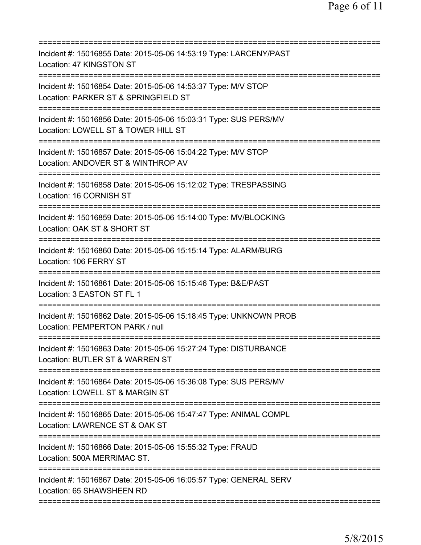| Incident #: 15016855 Date: 2015-05-06 14:53:19 Type: LARCENY/PAST<br>Location: 47 KINGSTON ST                              |
|----------------------------------------------------------------------------------------------------------------------------|
| Incident #: 15016854 Date: 2015-05-06 14:53:37 Type: M/V STOP<br>Location: PARKER ST & SPRINGFIELD ST                      |
| Incident #: 15016856 Date: 2015-05-06 15:03:31 Type: SUS PERS/MV<br>Location: LOWELL ST & TOWER HILL ST                    |
| Incident #: 15016857 Date: 2015-05-06 15:04:22 Type: M/V STOP<br>Location: ANDOVER ST & WINTHROP AV                        |
| ===========================<br>Incident #: 15016858 Date: 2015-05-06 15:12:02 Type: TRESPASSING<br>Location: 16 CORNISH ST |
| Incident #: 15016859 Date: 2015-05-06 15:14:00 Type: MV/BLOCKING<br>Location: OAK ST & SHORT ST                            |
| Incident #: 15016860 Date: 2015-05-06 15:15:14 Type: ALARM/BURG<br>Location: 106 FERRY ST                                  |
| Incident #: 15016861 Date: 2015-05-06 15:15:46 Type: B&E/PAST<br>Location: 3 EASTON ST FL 1                                |
| Incident #: 15016862 Date: 2015-05-06 15:18:45 Type: UNKNOWN PROB<br>Location: PEMPERTON PARK / null                       |
| Incident #: 15016863 Date: 2015-05-06 15:27:24 Type: DISTURBANCE<br>Location: BUTLER ST & WARREN ST                        |
| Incident #: 15016864 Date: 2015-05-06 15:36:08 Type: SUS PERS/MV<br>Location: LOWELL ST & MARGIN ST                        |
| Incident #: 15016865 Date: 2015-05-06 15:47:47 Type: ANIMAL COMPL<br>Location: LAWRENCE ST & OAK ST                        |
| Incident #: 15016866 Date: 2015-05-06 15:55:32 Type: FRAUD<br>Location: 500A MERRIMAC ST.                                  |
| Incident #: 15016867 Date: 2015-05-06 16:05:57 Type: GENERAL SERV<br>Location: 65 SHAWSHEEN RD                             |
|                                                                                                                            |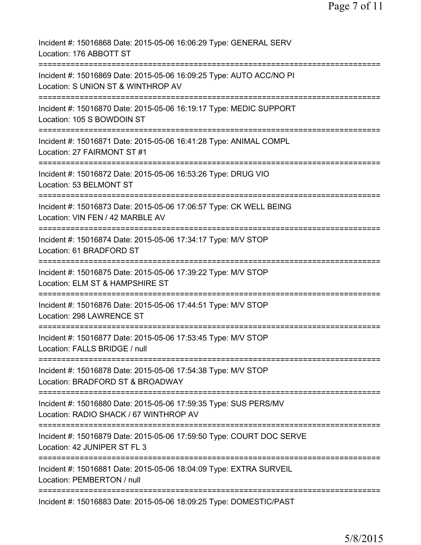| Incident #: 15016868 Date: 2015-05-06 16:06:29 Type: GENERAL SERV<br>Location: 176 ABBOTT ST                                     |
|----------------------------------------------------------------------------------------------------------------------------------|
| Incident #: 15016869 Date: 2015-05-06 16:09:25 Type: AUTO ACC/NO PI<br>Location: S UNION ST & WINTHROP AV                        |
| Incident #: 15016870 Date: 2015-05-06 16:19:17 Type: MEDIC SUPPORT<br>Location: 105 S BOWDOIN ST                                 |
| Incident #: 15016871 Date: 2015-05-06 16:41:28 Type: ANIMAL COMPL<br>Location: 27 FAIRMONT ST #1                                 |
| Incident #: 15016872 Date: 2015-05-06 16:53:26 Type: DRUG VIO<br>Location: 53 BELMONT ST                                         |
| Incident #: 15016873 Date: 2015-05-06 17:06:57 Type: CK WELL BEING<br>Location: VIN FEN / 42 MARBLE AV                           |
| Incident #: 15016874 Date: 2015-05-06 17:34:17 Type: M/V STOP<br>Location: 61 BRADFORD ST                                        |
| Incident #: 15016875 Date: 2015-05-06 17:39:22 Type: M/V STOP<br>Location: ELM ST & HAMPSHIRE ST                                 |
| Incident #: 15016876 Date: 2015-05-06 17:44:51 Type: M/V STOP<br>Location: 298 LAWRENCE ST                                       |
| Incident #: 15016877 Date: 2015-05-06 17:53:45 Type: M/V STOP<br>Location: FALLS BRIDGE / null                                   |
| Incident #: 15016878 Date: 2015-05-06 17:54:38 Type: M/V STOP<br>Location: BRADFORD ST & BROADWAY                                |
| Incident #: 15016880 Date: 2015-05-06 17:59:35 Type: SUS PERS/MV<br>Location: RADIO SHACK / 67 WINTHROP AV                       |
| Incident #: 15016879 Date: 2015-05-06 17:59:50 Type: COURT DOC SERVE<br>Location: 42 JUNIPER ST FL 3                             |
| ============================<br>Incident #: 15016881 Date: 2015-05-06 18:04:09 Type: EXTRA SURVEIL<br>Location: PEMBERTON / null |
| Incident #: 15016883 Date: 2015-05-06 18:09:25 Type: DOMESTIC/PAST                                                               |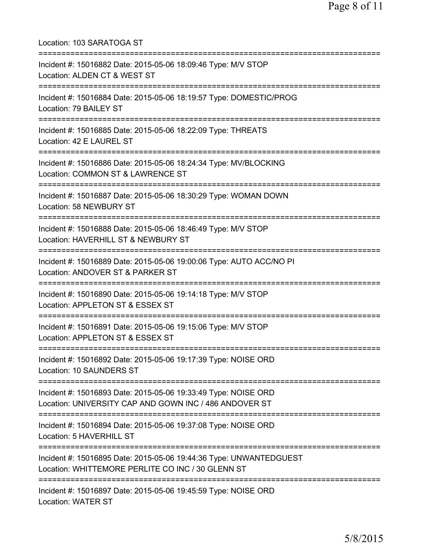Location: 103 SARATOGA ST =========================================================================== Incident #: 15016882 Date: 2015-05-06 18:09:46 Type: M/V STOP Location: ALDEN CT & WEST ST =========================================================================== Incident #: 15016884 Date: 2015-05-06 18:19:57 Type: DOMESTIC/PROG Location: 79 BAILEY ST =========================================================================== Incident #: 15016885 Date: 2015-05-06 18:22:09 Type: THREATS Location: 42 E LAUREL ST =========================================================================== Incident #: 15016886 Date: 2015-05-06 18:24:34 Type: MV/BLOCKING Location: COMMON ST & LAWRENCE ST =========================================================================== Incident #: 15016887 Date: 2015-05-06 18:30:29 Type: WOMAN DOWN Location: 58 NEWBURY ST =========================================================================== Incident #: 15016888 Date: 2015-05-06 18:46:49 Type: M/V STOP Location: HAVERHILL ST & NEWBURY ST =========================================================================== Incident #: 15016889 Date: 2015-05-06 19:00:06 Type: AUTO ACC/NO PI Location: ANDOVER ST & PARKER ST =========================================================================== Incident #: 15016890 Date: 2015-05-06 19:14:18 Type: M/V STOP Location: APPLETON ST & ESSEX ST =========================================================================== Incident #: 15016891 Date: 2015-05-06 19:15:06 Type: M/V STOP Location: APPLETON ST & ESSEX ST =========================================================================== Incident #: 15016892 Date: 2015-05-06 19:17:39 Type: NOISE ORD Location: 10 SAUNDERS ST =========================================================================== Incident #: 15016893 Date: 2015-05-06 19:33:49 Type: NOISE ORD Location: UNIVERSITY CAP AND GOWN INC / 486 ANDOVER ST =========================================================================== Incident #: 15016894 Date: 2015-05-06 19:37:08 Type: NOISE ORD Location: 5 HAVERHILL ST =========================================================================== Incident #: 15016895 Date: 2015-05-06 19:44:36 Type: UNWANTEDGUEST Location: WHITTEMORE PERLITE CO INC / 30 GLENN ST =========================================================================== Incident #: 15016897 Date: 2015-05-06 19:45:59 Type: NOISE ORD Location: WATER ST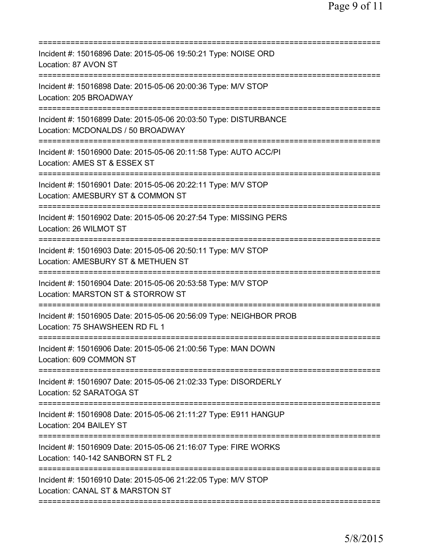| Incident #: 15016896 Date: 2015-05-06 19:50:21 Type: NOISE ORD<br>Location: 87 AVON ST                                               |
|--------------------------------------------------------------------------------------------------------------------------------------|
| Incident #: 15016898 Date: 2015-05-06 20:00:36 Type: M/V STOP<br>Location: 205 BROADWAY                                              |
| Incident #: 15016899 Date: 2015-05-06 20:03:50 Type: DISTURBANCE<br>Location: MCDONALDS / 50 BROADWAY                                |
| Incident #: 15016900 Date: 2015-05-06 20:11:58 Type: AUTO ACC/PI<br>Location: AMES ST & ESSEX ST                                     |
| Incident #: 15016901 Date: 2015-05-06 20:22:11 Type: M/V STOP<br>Location: AMESBURY ST & COMMON ST                                   |
| ======================<br>Incident #: 15016902 Date: 2015-05-06 20:27:54 Type: MISSING PERS<br>Location: 26 WILMOT ST                |
| Incident #: 15016903 Date: 2015-05-06 20:50:11 Type: M/V STOP<br>Location: AMESBURY ST & METHUEN ST                                  |
| Incident #: 15016904 Date: 2015-05-06 20:53:58 Type: M/V STOP<br>Location: MARSTON ST & STORROW ST<br>============================== |
| Incident #: 15016905 Date: 2015-05-06 20:56:09 Type: NEIGHBOR PROB<br>Location: 75 SHAWSHEEN RD FL 1                                 |
| Incident #: 15016906 Date: 2015-05-06 21:00:56 Type: MAN DOWN<br>Location: 609 COMMON ST                                             |
| .===================================<br>Incident #: 15016907 Date: 2015-05-06 21:02:33 Type: DISORDERLY<br>Location: 52 SARATOGA ST  |
| Incident #: 15016908 Date: 2015-05-06 21:11:27 Type: E911 HANGUP<br>Location: 204 BAILEY ST                                          |
| Incident #: 15016909 Date: 2015-05-06 21:16:07 Type: FIRE WORKS<br>Location: 140-142 SANBORN ST FL 2                                 |
| Incident #: 15016910 Date: 2015-05-06 21:22:05 Type: M/V STOP<br>Location: CANAL ST & MARSTON ST                                     |
|                                                                                                                                      |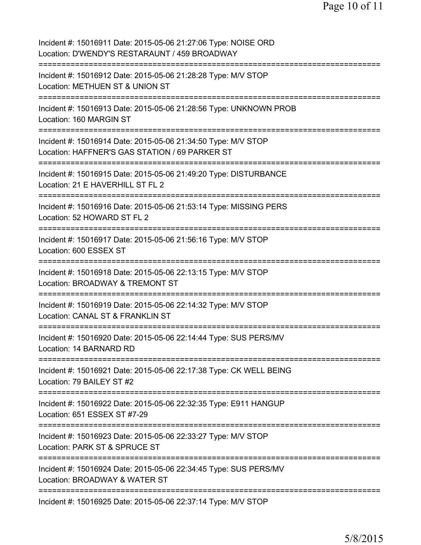| Incident #: 15016911 Date: 2015-05-06 21:27:06 Type: NOISE ORD<br>Location: D'WENDY'S RESTARAUNT / 459 BROADWAY                |
|--------------------------------------------------------------------------------------------------------------------------------|
| Incident #: 15016912 Date: 2015-05-06 21:28:28 Type: M/V STOP<br>Location: METHUEN ST & UNION ST                               |
| Incident #: 15016913 Date: 2015-05-06 21:28:56 Type: UNKNOWN PROB<br>Location: 160 MARGIN ST<br>------------------------------ |
| Incident #: 15016914 Date: 2015-05-06 21:34:50 Type: M/V STOP<br>Location: HAFFNER'S GAS STATION / 69 PARKER ST                |
| Incident #: 15016915 Date: 2015-05-06 21:49:20 Type: DISTURBANCE<br>Location: 21 E HAVERHILL ST FL 2                           |
| Incident #: 15016916 Date: 2015-05-06 21:53:14 Type: MISSING PERS<br>Location: 52 HOWARD ST FL 2                               |
| Incident #: 15016917 Date: 2015-05-06 21:56:16 Type: M/V STOP<br>Location: 600 ESSEX ST<br>=========================           |
| Incident #: 15016918 Date: 2015-05-06 22:13:15 Type: M/V STOP<br>Location: BROADWAY & TREMONT ST                               |
| Incident #: 15016919 Date: 2015-05-06 22:14:32 Type: M/V STOP<br>Location: CANAL ST & FRANKLIN ST                              |
| Incident #: 15016920 Date: 2015-05-06 22:14:44 Type: SUS PERS/MV<br>Location: 14 BARNARD RD                                    |
| Incident #: 15016921 Date: 2015-05-06 22:17:38 Type: CK WELL BEING<br>Location: 79 BAILEY ST #2                                |
| Incident #: 15016922 Date: 2015-05-06 22:32:35 Type: E911 HANGUP<br>Location: 651 ESSEX ST #7-29                               |
| --------<br>Incident #: 15016923 Date: 2015-05-06 22:33:27 Type: M/V STOP<br>Location: PARK ST & SPRUCE ST                     |
| ===========<br>Incident #: 15016924 Date: 2015-05-06 22:34:45 Type: SUS PERS/MV<br>Location: BROADWAY & WATER ST               |
| Incident #: 15016925 Date: 2015-05-06 22:37:14 Type: M/V STOP                                                                  |